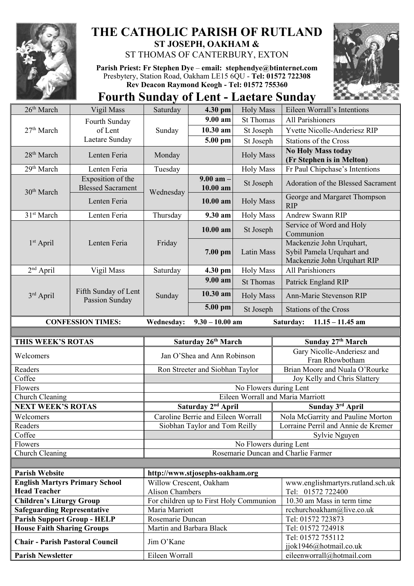

## **THE CATHOLIC PARISH OF RUTLAND ST JOSEPH, OAKHAM &**

ST THOMAS OF CANTERBURY, EXTON

**Parish Priest: Fr Stephen Dye** – **[email: stephendye@btinternet.com](mailto:email:%20%20stephendye@btinternet.com)** Presbytery, Station Road, Oakham LE15 6QU - **Tel: 01572 722308 Rev Deacon Raymond Keogh - Tel: 01572 755360**



**Fourth Sunday of Lent - Laetare Sunday**

| 26 <sup>th</sup> March                                                                         | Vigil Mass                                    | Saturday                 | 4.30 pm                            | <b>Holy Mass</b>                        | Eileen Worrall's Intentions                                                          |
|------------------------------------------------------------------------------------------------|-----------------------------------------------|--------------------------|------------------------------------|-----------------------------------------|--------------------------------------------------------------------------------------|
| 27 <sup>th</sup> March                                                                         | Fourth Sunday<br>of Lent                      | Sunday                   | 9.00 am                            | <b>St Thomas</b>                        | <b>All Parishioners</b>                                                              |
|                                                                                                |                                               |                          | 10.30 am                           | St Joseph                               | Yvette Nicolle-Anderiesz RIP                                                         |
|                                                                                                | Laetare Sunday                                |                          | 5.00 pm                            | St Joseph                               | <b>Stations of the Cross</b>                                                         |
| 28 <sup>th</sup> March                                                                         | Lenten Feria                                  | Monday                   |                                    | <b>Holy Mass</b>                        | <b>No Holy Mass today</b><br>(Fr Stephen is in Melton)                               |
| 29 <sup>th</sup> March                                                                         | Lenten Feria                                  | Tuesday                  |                                    | <b>Holy Mass</b>                        | Fr Paul Chipchase's Intentions                                                       |
| 30 <sup>th</sup> March                                                                         | Exposition of the<br><b>Blessed Sacrament</b> | Wednesday                | $9.00$ am $-$<br>10.00 am          | St Joseph                               | Adoration of the Blessed Sacrament                                                   |
|                                                                                                | Lenten Feria                                  |                          | 10.00 am                           | <b>Holy Mass</b>                        | George and Margaret Thompson<br><b>RIP</b>                                           |
| 31 <sup>st</sup> March                                                                         | Lenten Feria                                  | Thursday                 | 9.30 am                            | <b>Holy Mass</b>                        | <b>Andrew Swann RIP</b>                                                              |
| $1st$ April                                                                                    | Lenten Feria                                  | Friday                   | $10.00$ am                         | St Joseph                               | Service of Word and Holy<br>Communion                                                |
|                                                                                                |                                               |                          | 7.00 pm                            | Latin Mass                              | Mackenzie John Urquhart,<br>Sybil Pamela Urquhart and<br>Mackenzie John Urquhart RIP |
| $2nd$ April                                                                                    | Vigil Mass                                    | Saturday                 | 4.30 pm                            | <b>Holy Mass</b>                        | <b>All Parishioners</b>                                                              |
| 3rd April                                                                                      | Fifth Sunday of Lent<br>Passion Sunday        | Sunday                   | 9.00 a <sub>m</sub>                | <b>St Thomas</b>                        | Patrick England RIP                                                                  |
|                                                                                                |                                               |                          | 10.30 am                           | <b>Holy Mass</b>                        | Ann-Marie Stevenson RIP                                                              |
|                                                                                                |                                               |                          | 5.00 pm                            | St Joseph                               | <b>Stations of the Cross</b>                                                         |
| <b>CONFESSION TIMES:</b><br>$9.30 - 10.00$ am<br>Wednesday:<br>Saturday:<br>$11.15 - 11.45$ am |                                               |                          |                                    |                                         |                                                                                      |
|                                                                                                |                                               |                          |                                    |                                         |                                                                                      |
|                                                                                                |                                               |                          |                                    |                                         |                                                                                      |
| THIS WEEK'S ROTAS                                                                              |                                               |                          | Saturday 26th March                |                                         | Sunday 27th March                                                                    |
| Welcomers                                                                                      |                                               |                          | Jan O'Shea and Ann Robinson        |                                         | Gary Nicolle-Anderiesz and<br>Fran Rhowbotham                                        |
| Readers                                                                                        |                                               |                          | Ron Streeter and Siobhan Taylor    |                                         | Brian Moore and Nuala O'Rourke                                                       |
| Coffee                                                                                         |                                               |                          |                                    |                                         | Joy Kelly and Chris Slattery                                                         |
| Flowers                                                                                        |                                               |                          |                                    | No Flowers during Lent                  |                                                                                      |
| Church Cleaning                                                                                |                                               |                          |                                    |                                         | Eileen Worrall and Maria Marriott                                                    |
| <b>NEXT WEEK'S ROTAS</b>                                                                       |                                               |                          | Saturday 2 <sup>nd</sup> April     |                                         | Sunday 3rd April                                                                     |
| Welcomers                                                                                      |                                               |                          | Caroline Berrie and Eileen Worrall |                                         | Nola McGarrity and Pauline Morton                                                    |
| Readers                                                                                        |                                               |                          | Siobhan Taylor and Tom Reilly      |                                         | Lorraine Perril and Annie de Kremer                                                  |
| Coffee                                                                                         |                                               |                          |                                    |                                         | Sylvie Nguyen                                                                        |
| Flowers                                                                                        |                                               |                          |                                    | No Flowers during Lent                  | Rosemarie Duncan and Charlie Farmer                                                  |
| Church Cleaning                                                                                |                                               |                          |                                    |                                         |                                                                                      |
| <b>Parish Website</b>                                                                          |                                               |                          |                                    |                                         |                                                                                      |
| <b>English Martyrs Primary School</b>                                                          |                                               | Willow Crescent, Oakham  | http://www.stjosephs-oakham.org    |                                         | www.englishmartyrs.rutland.sch.uk                                                    |
| <b>Head Teacher</b>                                                                            |                                               | <b>Alison Chambers</b>   |                                    |                                         | Tel: 01572 722400                                                                    |
| <b>Children's Liturgy Group</b>                                                                |                                               |                          |                                    | For children up to First Holy Communion | 10.30 am Mass in term time                                                           |
| <b>Safeguarding Representative</b>                                                             |                                               | Maria Marriott           |                                    |                                         | rcchurchoakham@live.co.uk                                                            |
| <b>Parish Support Group - HELP</b>                                                             |                                               | Rosemarie Duncan         |                                    |                                         | Tel: 01572 723873                                                                    |
| <b>House Faith Sharing Groups</b>                                                              |                                               | Martin and Barbara Black |                                    |                                         | Tel: 01572 724918                                                                    |
| <b>Chair - Parish Pastoral Council</b>                                                         |                                               | Jim O'Kane               |                                    |                                         | Tel: 01572 755112<br>jjok1946@hotmail.co.uk                                          |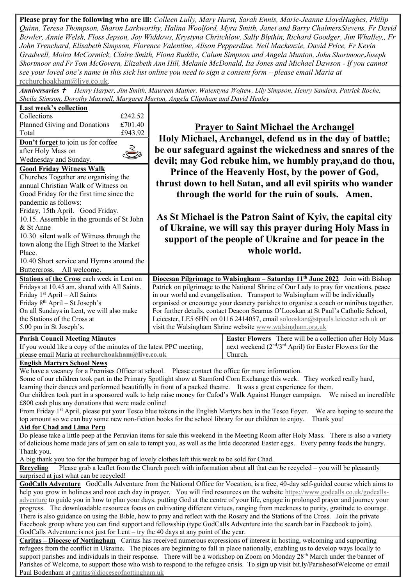**Please pray for the following who are ill:** *Colleen Lully, Mary Hurst, Sarah Ennis, Marie-Jeanne LloydHughes, Philip Quinn, Teresa Thompson, Sharon Larkworthy, Halina Woolford, Myra Smith, Janet and Barry ChalmersStevens, Fr David Bowler, Annie Welsh, Floss Jepson, Joy Widdows, Krystyna Chritchlow, Sally Blythin, Richard Goodger, Jim Whalley,, Fr John Trenchard, Elisabeth Simpson, Florence Valentine, Alison Pepperdine. Neil Mackenzie, David Price, Fr Kevin Gradwell, Moira McCormick, Claire Smith, Fiona Ruddle, Calum Simpson and Angela Munton, John Shortmoor,Joseph Shortmoor and Fr Tom McGovern, Elizabeth Ann Hill, Melanie McDonald, Ita Jones and Michael Dawson - If you cannot see your loved one's name in this sick list online you need to sign a consent form – please email Maria at* [rcchurchoakham@live.co.uk](mailto:rcchurchoakham@live.co.uk)*.*

*Anniversaries Henry Harper, Jim Smith, Maureen Mather, Walentyna Wojtew, Lily Simpson, Henry Sanders, Patrick Roche, Sheila Stimson, Dorothy Maxwell, Margaret Murton, Angela Clipsham and David Healey*

| Last week's collection<br>Collections<br>£242.52<br>Planned Giving and Donations<br>£701.40<br>£943.92<br>Total<br>Don't forget to join us for coffee<br>$\sum_{i=1}^{n}$<br>after Holy Mass on<br>Wednesday and Sunday.<br><b>Good Friday Witness Walk</b><br>Churches Together are organising the<br>annual Christian Walk of Witness on<br>Good Friday for the first time since the<br>pandemic as follows:<br>Friday, 15th April. Good Friday.<br>10.15. Assemble in the grounds of St John<br>& St Anne<br>10.30 silent walk of Witness through the<br>town along the High Street to the Market<br>Place.<br>10.40 Short service and Hymns around the<br>Buttercross. All welcome.                                                                                                                                                                                                                          |                                                                                                                                                                                                                                                                                                                                                                                                                                                                                                                                                                                                         | <b>Prayer to Saint Michael the Archangel</b><br>Holy Michael, Archangel, defend us in the day of battle;<br>be our safeguard against the wickedness and snares of the<br>devil; may God rebuke him, we humbly pray, and do thou,<br>Prince of the Heavenly Host, by the power of God,<br>thrust down to hell Satan, and all evil spirits who wander<br>through the world for the ruin of souls. Amen.<br>As St Michael is the Patron Saint of Kyiv, the capital city<br>of Ukraine, we will say this prayer during Holy Mass in<br>support of the people of Ukraine and for peace in the<br>whole world. |  |  |  |
|------------------------------------------------------------------------------------------------------------------------------------------------------------------------------------------------------------------------------------------------------------------------------------------------------------------------------------------------------------------------------------------------------------------------------------------------------------------------------------------------------------------------------------------------------------------------------------------------------------------------------------------------------------------------------------------------------------------------------------------------------------------------------------------------------------------------------------------------------------------------------------------------------------------|---------------------------------------------------------------------------------------------------------------------------------------------------------------------------------------------------------------------------------------------------------------------------------------------------------------------------------------------------------------------------------------------------------------------------------------------------------------------------------------------------------------------------------------------------------------------------------------------------------|----------------------------------------------------------------------------------------------------------------------------------------------------------------------------------------------------------------------------------------------------------------------------------------------------------------------------------------------------------------------------------------------------------------------------------------------------------------------------------------------------------------------------------------------------------------------------------------------------------|--|--|--|
| Stations of the Cross each week in Lent on<br>Fridays at 10.45 am, shared with All Saints.<br>Friday 1 <sup>st</sup> April - All Saints<br>Friday 8 <sup>th</sup> April - St Joseph's<br>On all Sundays in Lent, we will also make<br>the Stations of the Cross at<br>5.00 pm in St Joseph's.                                                                                                                                                                                                                                                                                                                                                                                                                                                                                                                                                                                                                    | <b>Diocesan Pilgrimage to Walsingham – Saturday 11<sup>th</sup> June 2022</b> Join with Bishop<br>Patrick on pilgrimage to the National Shrine of Our Lady to pray for vocations, peace<br>in our world and evangelisation. Transport to Walsingham will be individually<br>organised or encourage your deanery parishes to organise a coach or minibus together.<br>For further details, contact Deacon Seamus O'Looskan at St Paul's Catholic School,<br>Leicester, LE5 6HN on 0116 2414057, email solooskan@stpauls.leicester.sch.uk or<br>visit the Walsingham Shrine website www.walsingham.org.uk |                                                                                                                                                                                                                                                                                                                                                                                                                                                                                                                                                                                                          |  |  |  |
| <b>Parish Council Meeting Minutes</b><br>If you would like a copy of the minutes of the latest PPC meeting,<br>please email Maria at rcchurchoakham@live.co.uk                                                                                                                                                                                                                                                                                                                                                                                                                                                                                                                                                                                                                                                                                                                                                   | <b>Easter Flowers</b> There will be a collection after Holy Mass<br>next weekend (2 <sup>nd</sup> /3 <sup>rd</sup> April) for Easter Flowers for the<br>Church.                                                                                                                                                                                                                                                                                                                                                                                                                                         |                                                                                                                                                                                                                                                                                                                                                                                                                                                                                                                                                                                                          |  |  |  |
| <b>English Martyrs School News</b><br>We have a vacancy for a Premises Officer at school. Please contact the office for more information.<br>Some of our children took part in the Primary Spotlight show at Stamford Corn Exchange this week. They worked really hard,<br>learning their dances and performed beautifully in front of a packed theatre. It was a great experience for them.<br>Our children took part in a sponsored walk to help raise money for Cafod's Walk Against Hunger campaign. We raised an incredible<br>£800 cash plus any donations that were made online!<br>From Friday 1 <sup>st</sup> April, please put your Tesco blue tokens in the English Martyrs box in the Tesco Foyer. We are hoping to secure the<br>top amount so we can buy some new non-fiction books for the school library for our children to enjoy. Thank you!                                                   |                                                                                                                                                                                                                                                                                                                                                                                                                                                                                                                                                                                                         |                                                                                                                                                                                                                                                                                                                                                                                                                                                                                                                                                                                                          |  |  |  |
| Aid for Chad and Lima Peru<br>Do please take a little peep at the Peruvian items for sale this weekend in the Meeting Room after Holy Mass. There is also a variety<br>of delicious home made jars of jam on sale to tempt you, as well as the little decorated Easter eggs. Every penny feeds the hungry.<br>Thank you.<br>A big thank you too for the bumper bag of lovely clothes left this week to be sold for Chad.                                                                                                                                                                                                                                                                                                                                                                                                                                                                                         |                                                                                                                                                                                                                                                                                                                                                                                                                                                                                                                                                                                                         |                                                                                                                                                                                                                                                                                                                                                                                                                                                                                                                                                                                                          |  |  |  |
| Please grab a leaflet from the Church porch with information about all that can be recycled – you will be pleasantly<br>Recycling<br>surprised at just what can be recycled!                                                                                                                                                                                                                                                                                                                                                                                                                                                                                                                                                                                                                                                                                                                                     |                                                                                                                                                                                                                                                                                                                                                                                                                                                                                                                                                                                                         |                                                                                                                                                                                                                                                                                                                                                                                                                                                                                                                                                                                                          |  |  |  |
| GodCalls Adventure GodCalls Adventure from the National Office for Vocation, is a free, 40-day self-guided course which aims to<br>help you grow in holiness and root each day in prayer. You will find resources on the website https://www.godcalls.co.uk/godcalls-<br>adventure to guide you in how to plan your days, putting God at the centre of your life, engage in prolonged prayer and journey your<br>progress. The downloadable resources focus on cultivating different virtues, ranging from meekness to purity, gratitude to courage.<br>There is also guidance on using the Bible, how to pray and reflect with the Rosary and the Stations of the Cross. Join the private<br>Facebook group where you can find support and fellowship (type GodCalls Adventure into the search bar in Facebook to join).<br>GodCalls Adventure is not just for Lent - try the 40 days at any point of the year. |                                                                                                                                                                                                                                                                                                                                                                                                                                                                                                                                                                                                         |                                                                                                                                                                                                                                                                                                                                                                                                                                                                                                                                                                                                          |  |  |  |
| <b>Caritas – Diocese of Nottingham</b> Caritas has received numerous expressions of interest in hosting, welcoming and supporting<br>refugees from the conflict in Ukraine. The pieces are beginning to fall in place nationally, enabling us to develop ways locally to<br>support parishes and individuals in their response. There will be a workshop on Zoom on Monday 28 <sup>th</sup> March under the banner of<br>Parishes of Welcome, to support those who wish to respond to the refugee crisis. To sign up visit bit.ly/ParishesofWelcome or email<br>Paul Bodenham at caritas@dioceseofnottingham.uk                                                                                                                                                                                                                                                                                                  |                                                                                                                                                                                                                                                                                                                                                                                                                                                                                                                                                                                                         |                                                                                                                                                                                                                                                                                                                                                                                                                                                                                                                                                                                                          |  |  |  |